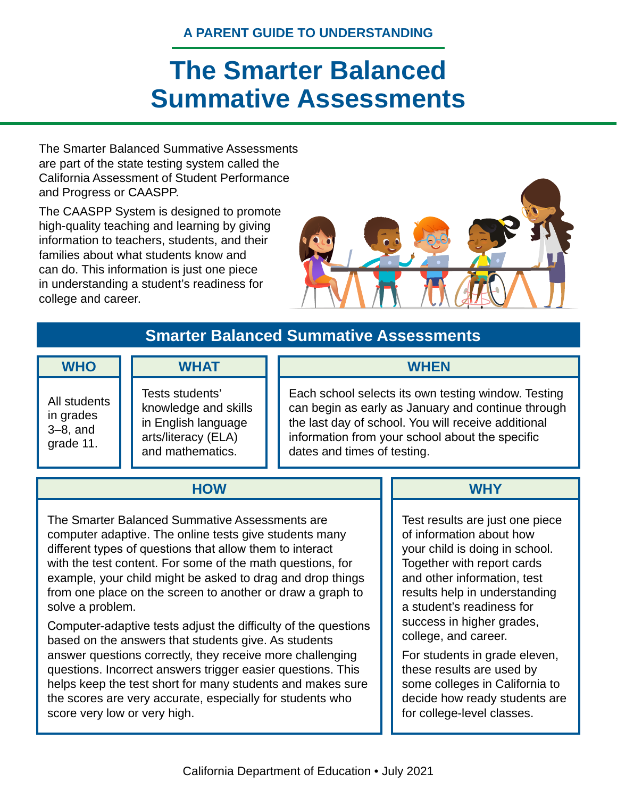# **A PARENT GUIDE TO UNDERSTANDING**

# **The Smarter Balanced Summative Assessments**

The Smarter Balanced Summative Assessments are part of the state testing system called the California Assessment of Student Performance and Progress or CAASPP.

The CAASPP System is designed to promote high-quality teaching and learning by giving information to teachers, students, and their families about what students know and can do. This information is just one piece in understanding a student's readiness for college and career.



# **Smarter Balanced Summative Assessments**

#### **WHO**

All students in grades 3–8, and grade 11.

# **WHAT**

Tests students' knowledge and skills in English language arts/literacy (ELA) and mathematics.

Each school selects its own testing window. Testing can begin as early as January and continue through the last day of school. You will receive additional information from your school about the specific dates and times of testing.

**WHEN**

# **HOW**

The Smarter Balanced Summative Assessments are computer adaptive. The online tests give students many different types of questions that allow them to interact with the test content. For some of the math questions, for example, your child might be asked to drag and drop things from one place on the screen to another or draw a graph to solve a problem.

Computer-adaptive tests adjust the difficulty of the questions based on the answers that students give. As students answer questions correctly, they receive more challenging questions. Incorrect answers trigger easier questions. This helps keep the test short for many students and makes sure the scores are very accurate, especially for students who score very low or very high.

#### **WHY**

Test results are just one piece of information about how your child is doing in school. Together with report cards and other information, test results help in understanding a student's readiness for success in higher grades, college, and career.

For students in grade eleven, these results are used by some colleges in California to decide how ready students are for college-level classes.